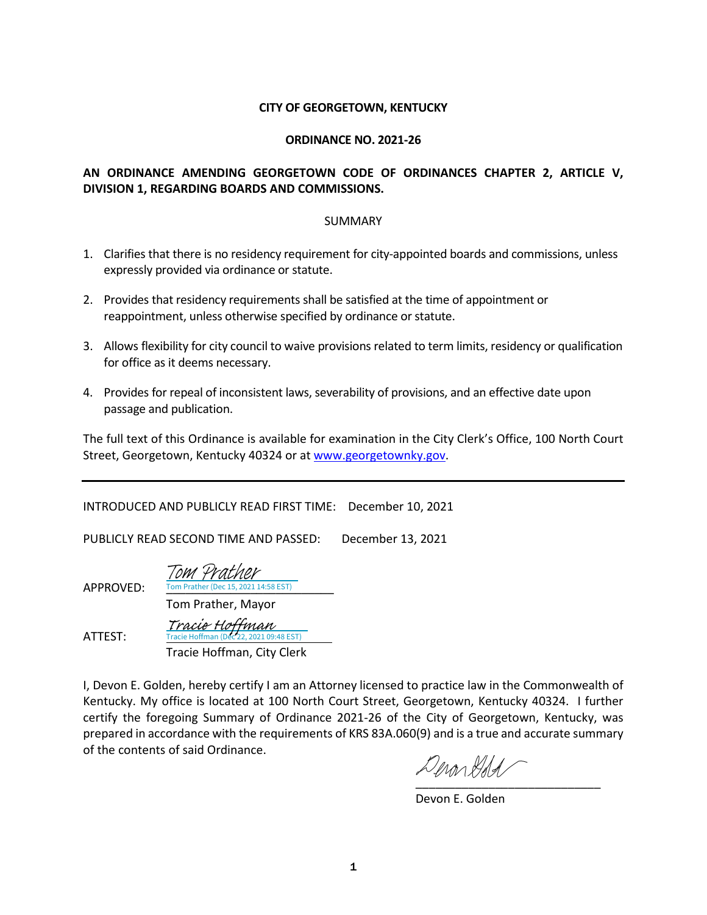#### **CITY OF GEORGETOWN, KENTUCKY**

#### **ORDINANCE NO. 2021-26**

# **AN ORDINANCE AMENDING GEORGETOWN CODE OF ORDINANCES CHAPTER 2, ARTICLE V, DIVISION 1, REGARDING BOARDS AND COMMISSIONS.**

#### SUMMARY

- 1. Clarifies that there is no residency requirement for city-appointed boards and commissions, unless expressly provided via ordinance or statute.
- 2. Provides that residency requirements shall be satisfied at the time of appointment or reappointment, unless otherwise specified by ordinance or statute.
- 3. Allows flexibility for city council to waive provisions related to term limits, residency or qualification for office as it deems necessary.
- 4. Provides for repeal of inconsistent laws, severability of provisions, and an effective date upon passage and publication.

The full text of this Ordinance is available for examination in the City Clerk's Office, 100 North Court Street, Georgetown, Kentucky 40324 or a[t www.georgetownky.gov.](http://www.georgetownky.gov/)

INTRODUCED AND PUBLICLY READ FIRST TIME: December 10, 2021

PUBLICLY READ SECOND TIME AND PASSED: December 13, 2021

ATTEST:

**APPROVED:** Tom Prather (Dec 15, 2021 14:58 EST) Tom Prather, Mayor [Tom Prather](https://na1.documents.adobe.com/verifier?tx=CBJCHBCAABAAl3_Ik69-G1k7fN-Yn-JBGKaqWGFuGYv-)

 Tracie Hoffman, City Clerk cie Hoffman (Dec 22, 2021 09:48 EST) [Tracie Hoffman](https://na1.documents.adobe.com/verifier?tx=CBJCHBCAABAAl3_Ik69-G1k7fN-Yn-JBGKaqWGFuGYv-)

I, Devon E. Golden, hereby certify I am an Attorney licensed to practice law in the Commonwealth of Kentucky. My office is located at 100 North Court Street, Georgetown, Kentucky 40324. I further certify the foregoing Summary of Ordinance 2021-26 of the City of Georgetown, Kentucky, was prepared in accordance with the requirements of KRS 83A.060(9) and is a true and accurate summary of the contents of said Ordinance.

Denarddal [\\_\\_\\_\\_\\_\\_\\_\\_\\_\\_\\_\\_\\_\\_\\_\\_\\_\\_\\_\\_\\_\\_\\_\\_\\_\\_\\_\\_](https://adobefreeuserschannel.na1.documents.adobe.com/verifier?tx=CBJCHBCAABAAl3_Ik69-G1k7fN-Yn-JBGKaqWGFuGYv-)

Devon E. Golden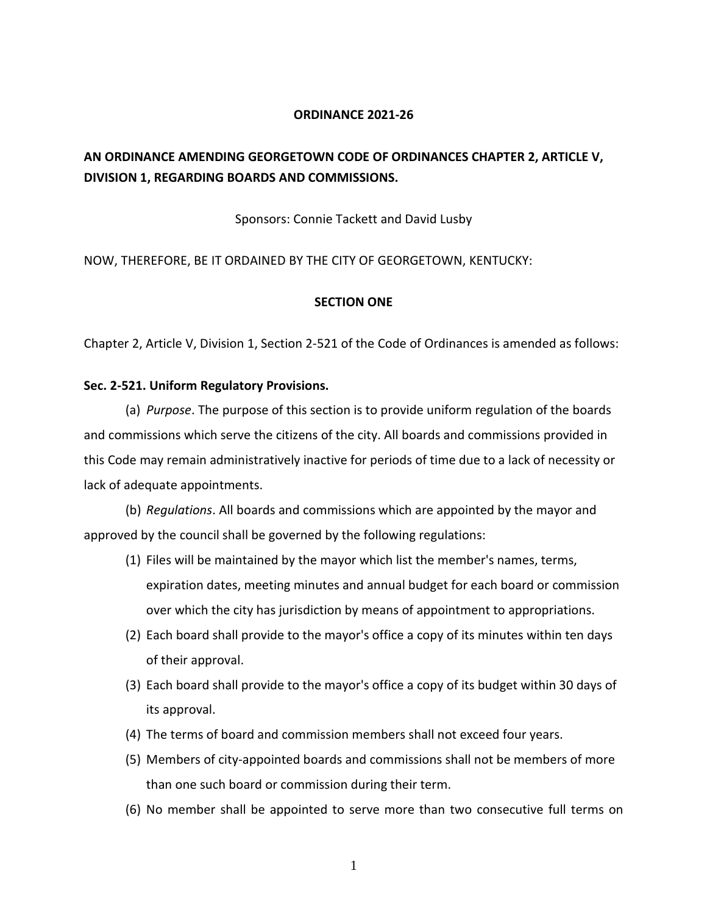#### **ORDINANCE 2021-26**

# **AN ORDINANCE AMENDING GEORGETOWN CODE OF ORDINANCES CHAPTER 2, ARTICLE V, DIVISION 1, REGARDING BOARDS AND COMMISSIONS.**

#### Sponsors: Connie Tackett and David Lusby

#### NOW, THEREFORE, BE IT ORDAINED BY THE CITY OF GEORGETOWN, KENTUCKY:

#### **SECTION ONE**

Chapter 2, Article V, Division 1, Section 2-521 of the Code of Ordinances is amended as follows:

#### **Sec. 2-521. Uniform Regulatory Provisions.**

(a) *Purpose*. The purpose of this section is to provide uniform regulation of the boards and commissions which serve the citizens of the city. All boards and commissions provided in this Code may remain administratively inactive for periods of time due to a lack of necessity or lack of adequate appointments.

(b) *Regulations*. All boards and commissions which are appointed by the mayor and approved by the council shall be governed by the following regulations:

- (1) Files will be maintained by the mayor which list the member's names, terms, expiration dates, meeting minutes and annual budget for each board or commission over which the city has jurisdiction by means of appointment to appropriations.
- (2) Each board shall provide to the mayor's office a copy of its minutes within ten days of their approval.
- (3) Each board shall provide to the mayor's office a copy of its budget within 30 days of its approval.
- (4) The terms of board and commission members shall not exceed four years.
- (5) Members of city-appointed boards and commissions shall not be members of more than one such board or commission during their term.
- (6) No member shall be appointed to serve more than two consecutive full terms on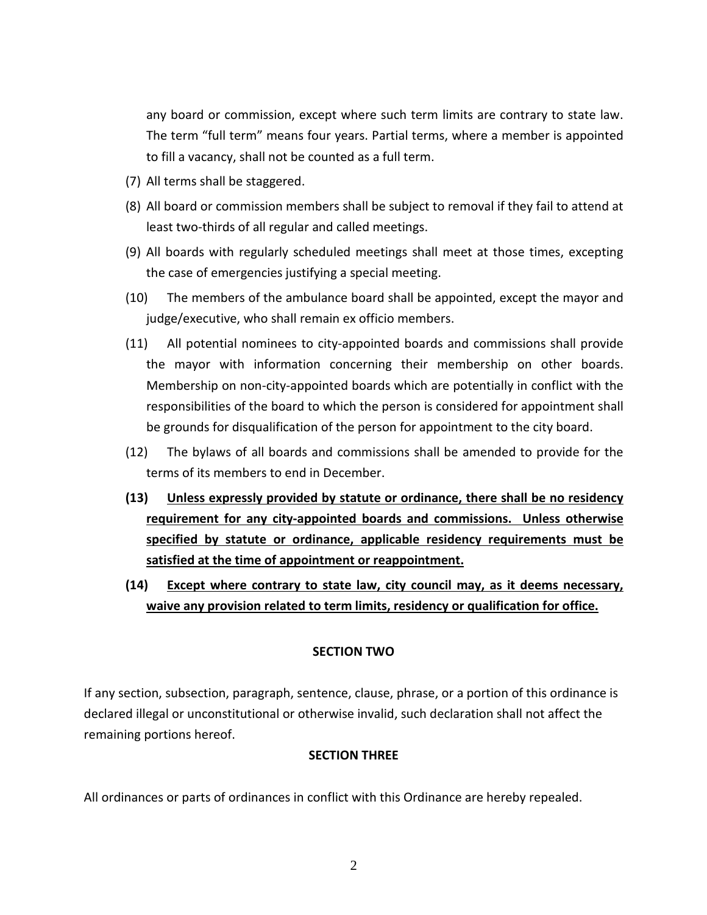any board or commission, except where such term limits are contrary to state law. The term "full term" means four years. Partial terms, where a member is appointed to fill a vacancy, shall not be counted as a full term.

- (7) All terms shall be staggered.
- (8) All board or commission members shall be subject to removal if they fail to attend at least two-thirds of all regular and called meetings.
- (9) All boards with regularly scheduled meetings shall meet at those times, excepting the case of emergencies justifying a special meeting.
- (10) The members of the ambulance board shall be appointed, except the mayor and judge/executive, who shall remain ex officio members.
- (11) All potential nominees to city-appointed boards and commissions shall provide the mayor with information concerning their membership on other boards. Membership on non-city-appointed boards which are potentially in conflict with the responsibilities of the board to which the person is considered for appointment shall be grounds for disqualification of the person for appointment to the city board.
- (12) The bylaws of all boards and commissions shall be amended to provide for the terms of its members to end in December.
- **(13) Unless expressly provided by statute or ordinance, there shall be no residency requirement for any city-appointed boards and commissions. Unless otherwise specified by statute or ordinance, applicable residency requirements must be satisfied at the time of appointment or reappointment.**
- **(14) Except where contrary to state law, city council may, as it deems necessary, waive any provision related to term limits, residency or qualification for office.**

# **SECTION TWO**

If any section, subsection, paragraph, sentence, clause, phrase, or a portion of this ordinance is declared illegal or unconstitutional or otherwise invalid, such declaration shall not affect the remaining portions hereof.

# **SECTION THREE**

All ordinances or parts of ordinances in conflict with this Ordinance are hereby repealed.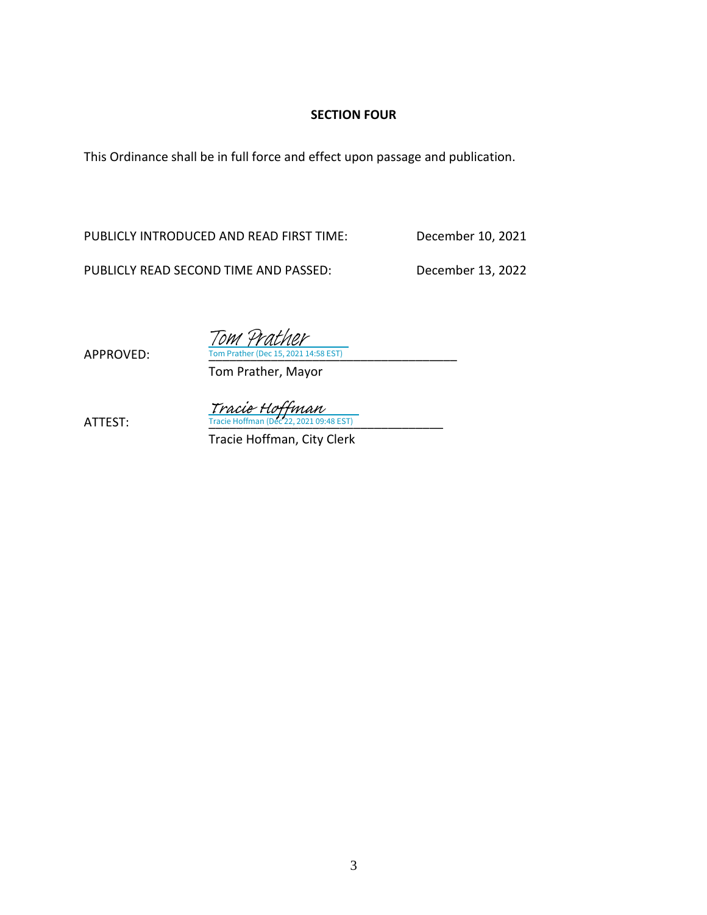# **SECTION FOUR**

This Ordinance shall be in full force and effect upon passage and publication.

PUBLICLY INTRODUCED AND READ FIRST TIME: December 10, 2021

Tom 4

PUBLICLY READ SECOND TIME AND PASSED: December 13, 2022

APPROVED:

Tom Prather, Mayor 4:58 EST)

 $\frac{Trace\; Hoffman}{Trace\; Hoffman\; (Dec\; 22, 2021\; 09:48\; EST)}$ 

Tracie Hoffman, City Clerk